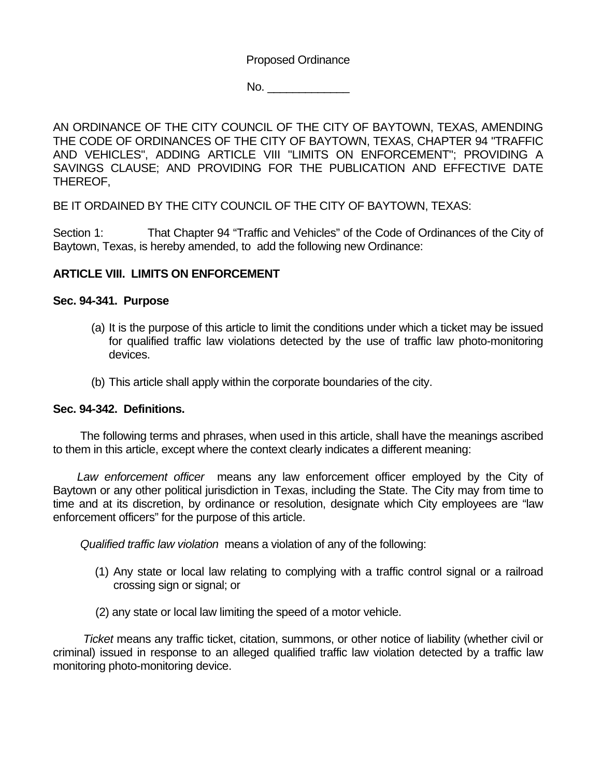Proposed Ordinance

 $No.$ 

AN ORDINANCE OF THE CITY COUNCIL OF THE CITY OF BAYTOWN, TEXAS, AMENDING THE CODE OF ORDINANCES OF THE CITY OF BAYTOWN, TEXAS, CHAPTER 94 "TRAFFIC AND VEHICLES", ADDING ARTICLE VIII "LIMITS ON ENFORCEMENT"; PROVIDING A SAVINGS CLAUSE; AND PROVIDING FOR THE PUBLICATION AND EFFECTIVE DATE THEREOF,

BE IT ORDAINED BY THE CITY COUNCIL OF THE CITY OF BAYTOWN, TEXAS:

Section 1: That Chapter 94 "Traffic and Vehicles" of the Code of Ordinances of the City of Baytown, Texas, is hereby amended, to add the following new Ordinance:

# **ARTICLE VIII. LIMITS ON ENFORCEMENT**

## **Sec. 94-341. Purpose**

- (a) It is the purpose of this article to limit the conditions under which a ticket may be issued for qualified traffic law violations detected by the use of traffic law photo-monitoring devices.
- (b) This article shall apply within the corporate boundaries of the city.

## **Sec. 94-342. Definitions.**

 The following terms and phrases, when used in this article, shall have the meanings ascribed to them in this article, except where the context clearly indicates a different meaning:

 *Law enforcement officer* means any law enforcement officer employed by the City of Baytown or any other political jurisdiction in Texas, including the State. The City may from time to time and at its discretion, by ordinance or resolution, designate which City employees are "law enforcement officers" for the purpose of this article.

*Qualified traffic law violation* means a violation of any of the following:

- (1) Any state or local law relating to complying with a traffic control signal or a railroad crossing sign or signal; or
- (2) any state or local law limiting the speed of a motor vehicle.

 *Ticket* means any traffic ticket, citation, summons, or other notice of liability (whether civil or criminal) issued in response to an alleged qualified traffic law violation detected by a traffic law monitoring photo-monitoring device.